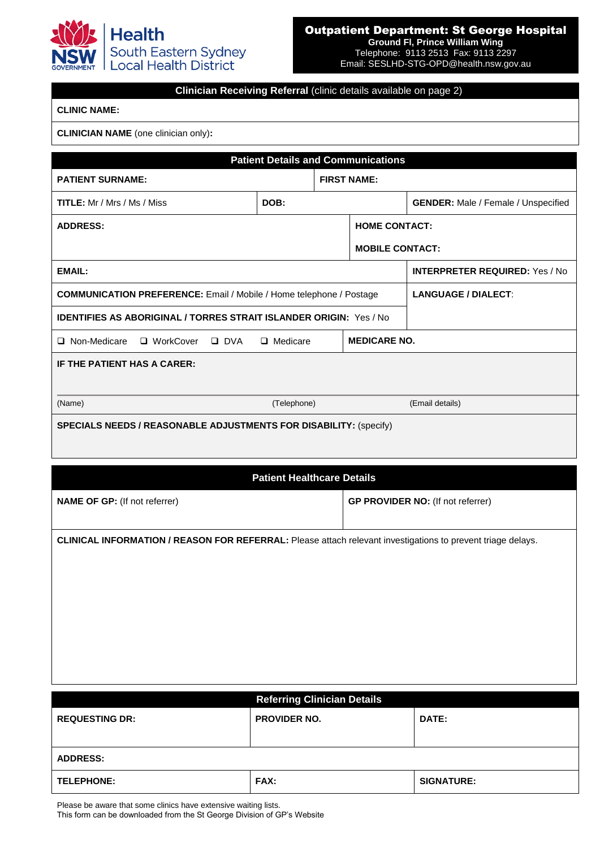

## Outpatient Department: St George Hospital

**Ground Fl, Prince William Wing** Telephone: 9113 2513 Fax: 9113 2297 Email: SESLHD-STG-OPD@health.nsw.gov.au

## **Clinician Receiving Referral** (clinic details available on page 2)

## **CLINIC NAME:**

## **CLINICIAN NAME** (one clinician only)**:**

| <b>Patient Details and Communications</b>                                  |                 |                    |                            |                                            |  |  |  |
|----------------------------------------------------------------------------|-----------------|--------------------|----------------------------|--------------------------------------------|--|--|--|
| <b>PATIENT SURNAME:</b>                                                    |                 | <b>FIRST NAME:</b> |                            |                                            |  |  |  |
| <b>TITLE:</b> Mr / Mrs / Ms / Miss                                         | DOB:            |                    |                            | <b>GENDER:</b> Male / Female / Unspecified |  |  |  |
| <b>ADDRESS:</b>                                                            |                 |                    | <b>HOME CONTACT:</b>       |                                            |  |  |  |
|                                                                            |                 |                    | <b>MOBILE CONTACT:</b>     |                                            |  |  |  |
| <b>EMAIL:</b>                                                              |                 |                    |                            | <b>INTERPRETER REQUIRED:</b> Yes / No.     |  |  |  |
| <b>COMMUNICATION PREFERENCE:</b> Email / Mobile / Home telephone / Postage |                 |                    | <b>LANGUAGE / DIALECT:</b> |                                            |  |  |  |
| <b>IDENTIFIES AS ABORIGINAL / TORRES STRAIT ISLANDER ORIGIN: Yes / No.</b> |                 |                    |                            |                                            |  |  |  |
| □ Non-Medicare □ WorkCover □ DVA                                           | $\Box$ Medicare |                    | <b>MEDICARE NO.</b>        |                                            |  |  |  |
| IF THE PATIENT HAS A CARER:                                                |                 |                    |                            |                                            |  |  |  |
|                                                                            |                 |                    |                            |                                            |  |  |  |
| (Name)                                                                     | (Telephone)     |                    |                            | (Email details)                            |  |  |  |
| <b>SPECIALS NEEDS / REASONABLE ADJUSTMENTS FOR DISABILITY: (Specify)</b>   |                 |                    |                            |                                            |  |  |  |

| <b>Patient Healthcare Details</b>                                                                                  |                                          |  |  |  |  |
|--------------------------------------------------------------------------------------------------------------------|------------------------------------------|--|--|--|--|
| <b>NAME OF GP: (If not referrer)</b>                                                                               | <b>GP PROVIDER NO: (If not referrer)</b> |  |  |  |  |
|                                                                                                                    |                                          |  |  |  |  |
| <b>CLINICAL INFORMATION / REASON FOR REFERRAL:</b> Please attach relevant investigations to prevent triage delays. |                                          |  |  |  |  |
|                                                                                                                    |                                          |  |  |  |  |
|                                                                                                                    |                                          |  |  |  |  |
|                                                                                                                    |                                          |  |  |  |  |
|                                                                                                                    |                                          |  |  |  |  |
|                                                                                                                    |                                          |  |  |  |  |

|                       | <b>Referring Clinician Details</b> |                   |  |  |  |
|-----------------------|------------------------------------|-------------------|--|--|--|
| <b>REQUESTING DR:</b> | <b>PROVIDER NO.</b>                | DATE:             |  |  |  |
|                       |                                    |                   |  |  |  |
| <b>ADDRESS:</b>       |                                    |                   |  |  |  |
| <b>TELEPHONE:</b>     | <b>FAX:</b>                        | <b>SIGNATURE:</b> |  |  |  |

Please be aware that some clinics have extensive waiting lists.

This form can be downloaded from the St George Division of GP's Website